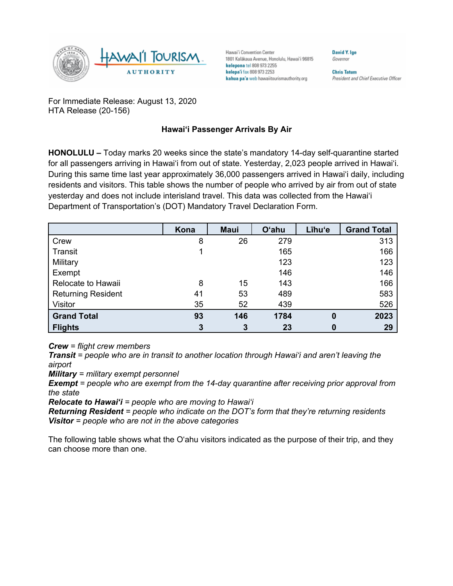

Hawai'i Convention Center 1801 Kalākaua Avenue, Honolulu, Hawai'i 96815 kelepona tel 808 973 2255 kelepa'i fax 808 973 2253 kahua pa'a web hawaiitourismauthority.org

**Chris Tatum** 

President and Chief Executive Officer

David Y. Ige

Governor

For Immediate Release: August 13, 2020 HTA Release (20-156)

## **Hawai'i Passenger Arrivals By Air**

**HONOLULU –** Today marks 20 weeks since the state's mandatory 14-day self-quarantine started for all passengers arriving in Hawai'i from out of state. Yesterday, 2,023 people arrived in Hawai'i. During this same time last year approximately 36,000 passengers arrived in Hawai'i daily, including residents and visitors. This table shows the number of people who arrived by air from out of state yesterday and does not include interisland travel. This data was collected from the Hawai'i Department of Transportation's (DOT) Mandatory Travel Declaration Form.

|                           | Kona           | <b>Maui</b> | <b>O'ahu</b> | Līhu'e       | <b>Grand Total</b> |
|---------------------------|----------------|-------------|--------------|--------------|--------------------|
| Crew                      | 8              | 26          | 279          |              | 313                |
| Transit                   |                |             | 165          |              | 166                |
| Military                  |                |             | 123          |              | 123                |
| Exempt                    |                |             | 146          |              | 146                |
| Relocate to Hawaii        | 8              | 15          | 143          |              | 166                |
| <b>Returning Resident</b> | 41             | 53          | 489          |              | 583                |
| Visitor                   | 35             | 52          | 439          |              | 526                |
| <b>Grand Total</b>        | 93             | 146         | 1784         | $\mathbf{0}$ | 2023               |
| <b>Flights</b>            | $\overline{3}$ | 3           | 23           |              | 29                 |

*Crew = flight crew members*

*Transit = people who are in transit to another location through Hawai'i and aren't leaving the airport*

*Military = military exempt personnel*

*Exempt = people who are exempt from the 14-day quarantine after receiving prior approval from the state*

*Relocate to Hawai'i = people who are moving to Hawai'i*

*Returning Resident = people who indicate on the DOT's form that they're returning residents Visitor = people who are not in the above categories*

The following table shows what the O'ahu visitors indicated as the purpose of their trip, and they can choose more than one.